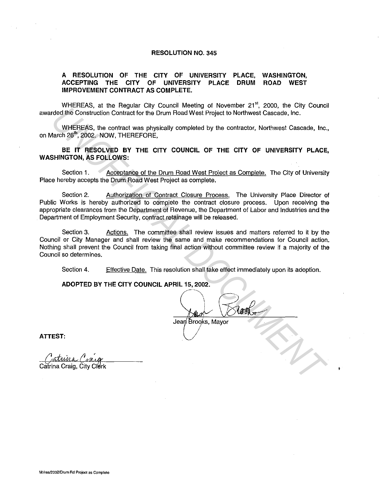## **RESOLUTION NO. 345**

## **A RESOLUTION OF THE CITY OF UNIVERSITY PLACE, ACCEPTING THE CITY OF UNIVERSITY PLACE DRUM IMPROVEMENT CONTRACT AS COMPLETE. WASHINGTON, ROAD WEST**

WHEREAS, at the Regular City Council Meeting of November 21<sup>st</sup>, 2000, the City Council awarded the Construction Contract for the Drum Road West Project to Northwest Cascade, Inc.

WHEREAS, the contract was physically completed by the contractor, Northwest Cascade, Inc., on March 26<sup>th</sup>, 2002. NOW, THEREFORE,

**BE IT RESOLVED BY THE CITY COUNCIL OF THE CITY OF UNIVERSITY PLACE, WASHINGTON, AS FOLLOWS:** 

Section 1. Acceptance of the Drum Road West Project as Complete. The City of University Place hereby accepts the Drum Road West Project as complete.

Section 2. Authorization of Contract Closure Process. The University Place Director of Public Works is hereby authorized to complete the contract closure process. Upon receiving the appropriate clearances from the Department of Revenue, the Department of Labor and Industries and the Department of Employment Security, contract retainage will be released.

Section 3. Actions. The committee shall review issues and matters referred to it by the Council or City Manager and shall review the same and make recommendations for Council action. Nothing shall prevent the Council from taking final action without committee review if a majority of the Council so determines. **UNIFICIAL AT the Tensing of the Dunnifical Docume investigate of the Dunnifical Documentation Contract of the Dunnifical West Project to Northwast Cascade, Inc.<br>
WHEREAS, the contract or the Drum Road West Project to Nort** 

Section 4. Effective Date. This resolution shall take effect immediately upon its adoption.

**ADOPTED BY THE CITY COUNCIL APRIL 15, 2002.** 

-~  $\lambda$   $\sqrt{2}$ 

**ATTEST:**